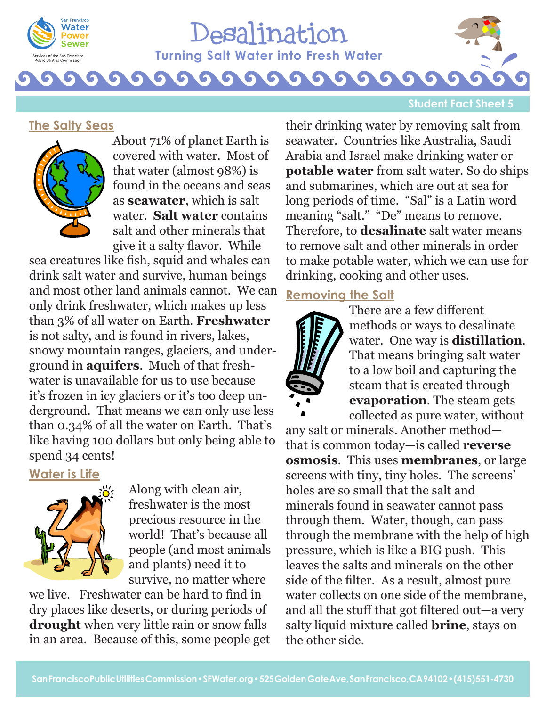

# Desalination  **Turning Salt Water into Fresh Water** G

#### **Student Fact Sheet 5**

#### **The Salty Seas**



About 71% of planet Earth is covered with water. Most of that water (almost 98%) is found in the oceans and seas as **seawater**, which is salt water. **Salt water** contains salt and other minerals that give it a salty flavor. While

sea creatures like fish, squid and whales can drink salt water and survive, human beings and most other land animals cannot. We can only drink freshwater, which makes up less than 3% of all water on Earth. **Freshwater** is not salty, and is found in rivers, lakes, snowy mountain ranges, glaciers, and underground in **aquifers**. Much of that freshwater is unavailable for us to use because it's frozen in icy glaciers or it's too deep underground. That means we can only use less than 0.34% of all the water on Earth. That's like having 100 dollars but only being able to spend 34 cents!

#### **Water is Life**



Along with clean air, freshwater is the most precious resource in the world! That's because all people (and most animals and plants) need it to survive, no matter where

we live. Freshwater can be hard to find in dry places like deserts, or during periods of **drought** when very little rain or snow falls in an area. Because of this, some people get

their drinking water by removing salt from seawater. Countries like Australia, Saudi Arabia and Israel make drinking water or **potable water** from salt water. So do ships and submarines, which are out at sea for long periods of time. "Sal" is a Latin word meaning "salt." "De" means to remove. Therefore, to **desalinate** salt water means to remove salt and other minerals in order to make potable water, which we can use for drinking, cooking and other uses.

### **Removing the Salt**



There are a few different methods or ways to desalinate water. One way is **distillation**. That means bringing salt water to a low boil and capturing the steam that is created through **evaporation**. The steam gets collected as pure water, without

any salt or minerals. Another method that is common today—is called **reverse osmosis**. This uses **membranes**, or large screens with tiny, tiny holes. The screens' holes are so small that the salt and minerals found in seawater cannot pass through them. Water, though, can pass through the membrane with the help of high pressure, which is like a BIG push. This leaves the salts and minerals on the other side of the filter. As a result, almost pure water collects on one side of the membrane, and all the stuff that got filtered out—a very salty liquid mixture called **brine**, stays on the other side.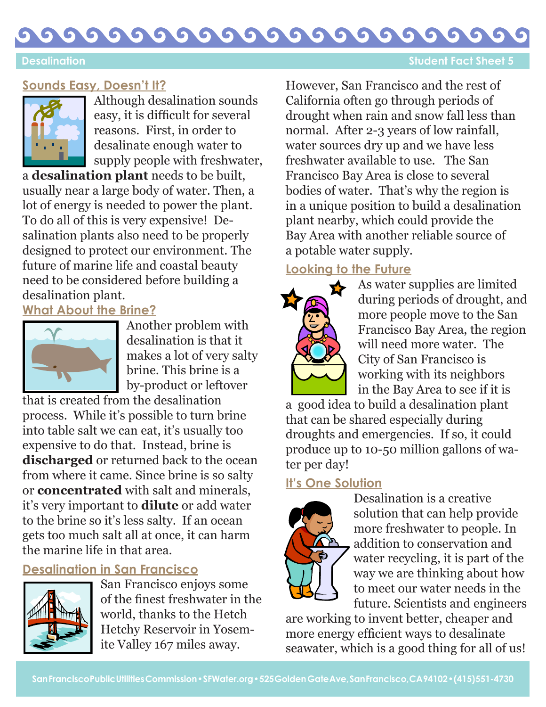#### G G  $\bullet$ G G 61 G G  $\bullet$ G O

# **Sounds Easy, Doesn't It?**



Although desalination sounds easy, it is difficult for several reasons. First, in order to desalinate enough water to supply people with freshwater,

a **desalination plant** needs to be built, usually near a large body of water. Then, a lot of energy is needed to power the plant. To do all of this is very expensive! Desalination plants also need to be properly designed to protect our environment. The future of marine life and coastal beauty need to be considered before building a desalination plant.

**What About the Brine?**



Another problem with desalination is that it makes a lot of very salty brine. This brine is a by-product or leftover

that is created from the desalination process. While it's possible to turn brine into table salt we can eat, it's usually too expensive to do that. Instead, brine is **discharged** or returned back to the ocean from where it came. Since brine is so salty or **concentrated** with salt and minerals, it's very important to **dilute** or add water to the brine so it's less salty. If an ocean gets too much salt all at once, it can harm the marine life in that area.

# **Desalination in San Francisco**



San Francisco enjoys some of the finest freshwater in the world, thanks to the Hetch Hetchy Reservoir in Yosemite Valley 167 miles away.

However, San Francisco and the rest of California often go through periods of drought when rain and snow fall less than normal. After 2-3 years of low rainfall, water sources dry up and we have less freshwater available to use. The San Francisco Bay Area is close to several bodies of water. That's why the region is in a unique position to build a desalination plant nearby, which could provide the Bay Area with another reliable source of a potable water supply.

# **Looking to the Future**



As water supplies are limited during periods of drought, and more people move to the San Francisco Bay Area, the region will need more water. The City of San Francisco is working with its neighbors in the Bay Area to see if it is

a good idea to build a desalination plant that can be shared especially during droughts and emergencies. If so, it could produce up to 10-50 million gallons of water per day!

# **It's One Solution**



Desalination is a creative solution that can help provide more freshwater to people. In addition to conservation and water recycling, it is part of the way we are thinking about how to meet our water needs in the future. Scientists and engineers

are working to invent better, cheaper and more energy efficient ways to desalinate seawater, which is a good thing for all of us!

#### **Desalination Student Fact Sheet 5**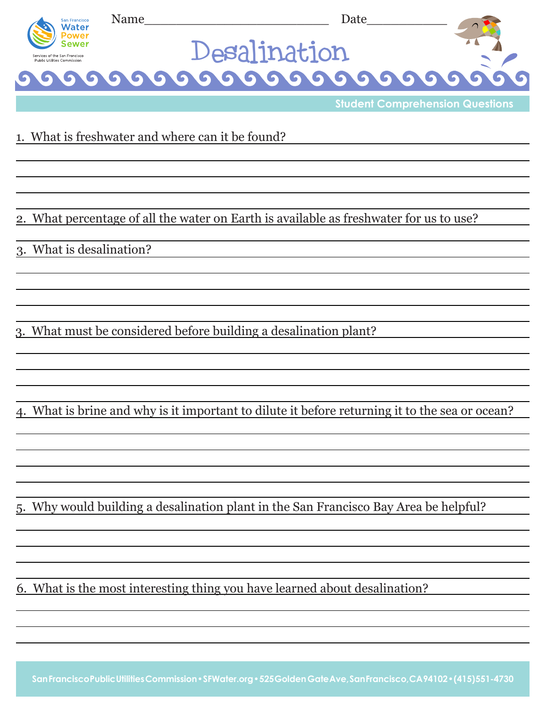

**Student Comprehension Questions**

1. What is freshwater and where can it be found?

2. What percentage of all the water on Earth is available as freshwater for us to use?

3. What is desalination?

3. What must be considered before building a desalination plant?

4. What is brine and why is it important to dilute it before returning it to the sea or ocean?

5. Why would building a desalination plant in the San Francisco Bay Area be helpful?

6. What is the most interesting thing you have learned about desalination?